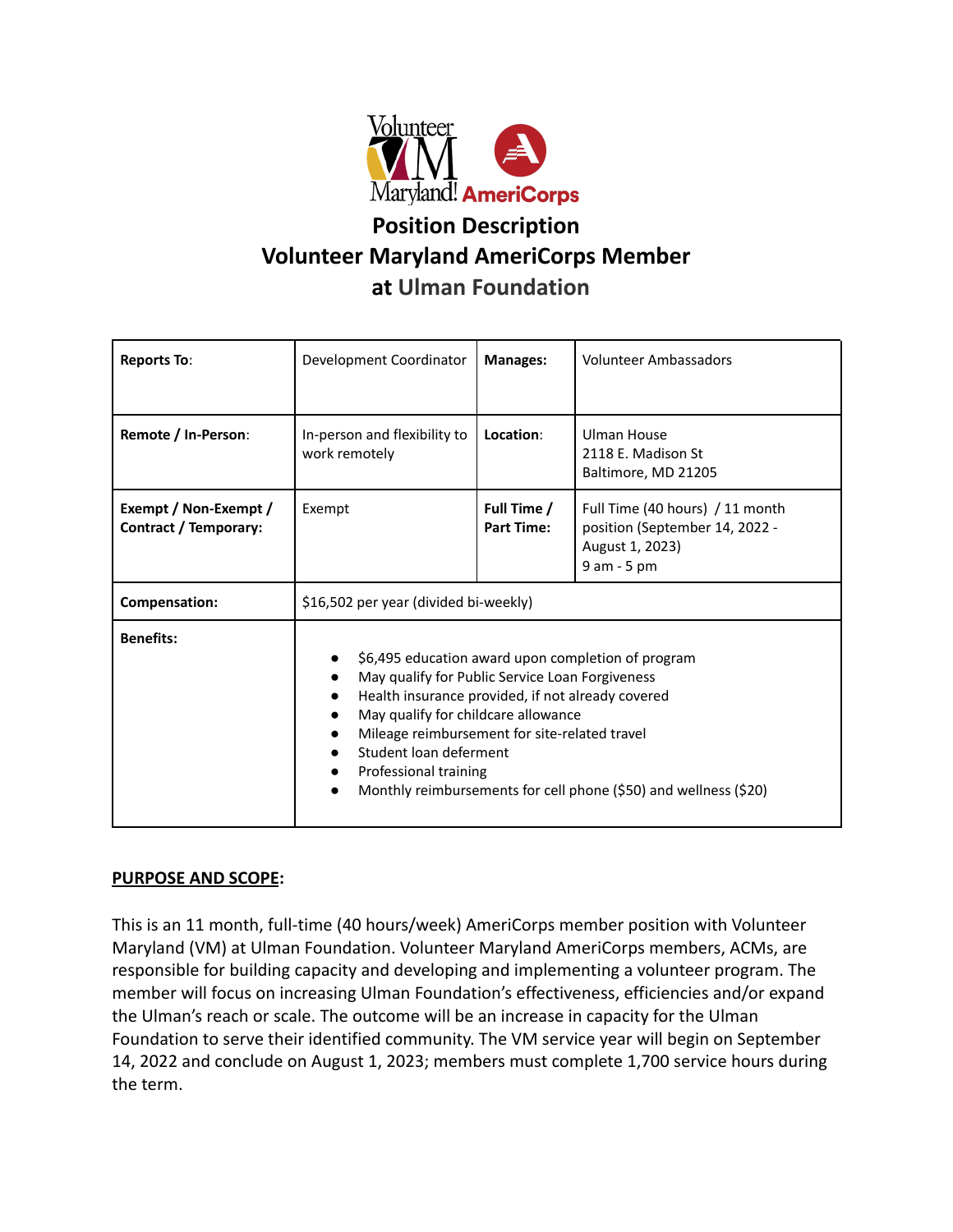

# **Position Description Volunteer Maryland AmeriCorps Member at Ulman Foundation**

| <b>Reports To:</b>                                    | Development Coordinator                                                                                                                                                                                                                                                                                                                                                                                          | <b>Manages:</b>                  | Volunteer Ambassadors                                                                               |
|-------------------------------------------------------|------------------------------------------------------------------------------------------------------------------------------------------------------------------------------------------------------------------------------------------------------------------------------------------------------------------------------------------------------------------------------------------------------------------|----------------------------------|-----------------------------------------------------------------------------------------------------|
| Remote / In-Person:                                   | In-person and flexibility to<br>work remotely                                                                                                                                                                                                                                                                                                                                                                    | Location:                        | Ulman House<br>2118 E. Madison St<br>Baltimore, MD 21205                                            |
| Exempt / Non-Exempt /<br><b>Contract / Temporary:</b> | Exempt                                                                                                                                                                                                                                                                                                                                                                                                           | Full Time /<br><b>Part Time:</b> | Full Time (40 hours) / 11 month<br>position (September 14, 2022 -<br>August 1, 2023)<br>9 am - 5 pm |
| Compensation:                                         | \$16,502 per year (divided bi-weekly)                                                                                                                                                                                                                                                                                                                                                                            |                                  |                                                                                                     |
| <b>Benefits:</b>                                      | \$6,495 education award upon completion of program<br>May qualify for Public Service Loan Forgiveness<br>Health insurance provided, if not already covered<br>May qualify for childcare allowance<br>Mileage reimbursement for site-related travel<br>Student loan deferment<br>$\bullet$<br>Professional training<br>$\bullet$<br>Monthly reimbursements for cell phone (\$50) and wellness (\$20)<br>$\bullet$ |                                  |                                                                                                     |

# **PURPOSE AND SCOPE:**

This is an 11 month, full-time (40 hours/week) AmeriCorps member position with Volunteer Maryland (VM) at Ulman Foundation. Volunteer Maryland AmeriCorps members, ACMs, are responsible for building capacity and developing and implementing a volunteer program. The member will focus on increasing Ulman Foundation's effectiveness, efficiencies and/or expand the Ulman's reach or scale. The outcome will be an increase in capacity for the Ulman Foundation to serve their identified community. The VM service year will begin on September 14, 2022 and conclude on August 1, 2023; members must complete 1,700 service hours during the term.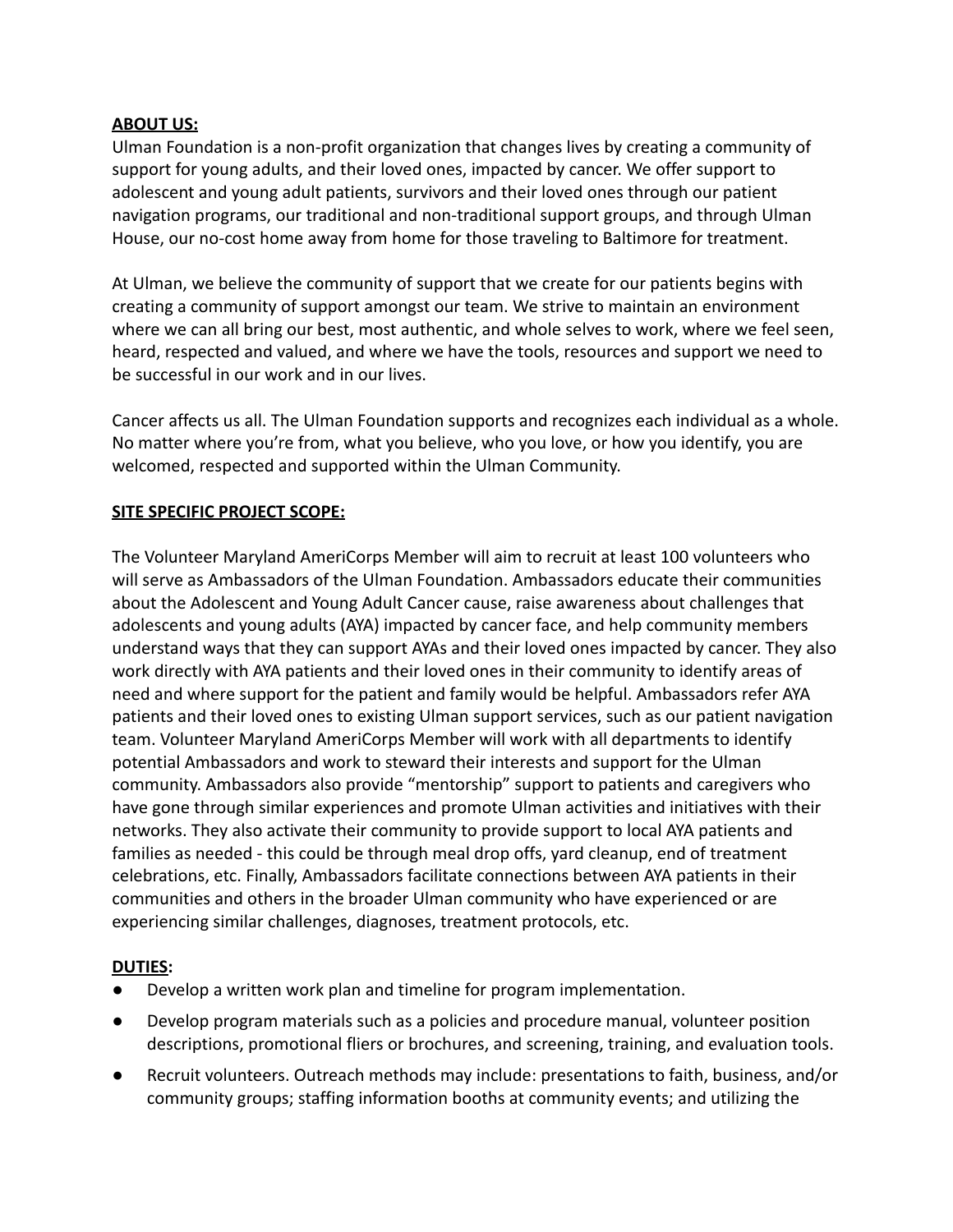## **ABOUT US:**

Ulman Foundation is a non-profit organization that changes lives by creating a community of support for young adults, and their loved ones, impacted by cancer. We offer support to adolescent and young adult patients, survivors and their loved ones through our patient navigation programs, our traditional and non-traditional support groups, and through Ulman House, our no-cost home away from home for those traveling to Baltimore for treatment.

At Ulman, we believe the community of support that we create for our patients begins with creating a community of support amongst our team. We strive to maintain an environment where we can all bring our best, most authentic, and whole selves to work, where we feel seen, heard, respected and valued, and where we have the tools, resources and support we need to be successful in our work and in our lives.

Cancer affects us all. The Ulman Foundation supports and recognizes each individual as a whole. No matter where you're from, what you believe, who you love, or how you identify, you are welcomed, respected and supported within the Ulman Community.

## **SITE SPECIFIC PROJECT SCOPE:**

The Volunteer Maryland AmeriCorps Member will aim to recruit at least 100 volunteers who will serve as Ambassadors of the Ulman Foundation. Ambassadors educate their communities about the Adolescent and Young Adult Cancer cause, raise awareness about challenges that adolescents and young adults (AYA) impacted by cancer face, and help community members understand ways that they can support AYAs and their loved ones impacted by cancer. They also work directly with AYA patients and their loved ones in their community to identify areas of need and where support for the patient and family would be helpful. Ambassadors refer AYA patients and their loved ones to existing Ulman support services, such as our patient navigation team. Volunteer Maryland AmeriCorps Member will work with all departments to identify potential Ambassadors and work to steward their interests and support for the Ulman community. Ambassadors also provide "mentorship" support to patients and caregivers who have gone through similar experiences and promote Ulman activities and initiatives with their networks. They also activate their community to provide support to local AYA patients and families as needed - this could be through meal drop offs, yard cleanup, end of treatment celebrations, etc. Finally, Ambassadors facilitate connections between AYA patients in their communities and others in the broader Ulman community who have experienced or are experiencing similar challenges, diagnoses, treatment protocols, etc.

## **DUTIES:**

- Develop a written work plan and timeline for program implementation.
- Develop program materials such as a policies and procedure manual, volunteer position descriptions, promotional fliers or brochures, and screening, training, and evaluation tools.
- Recruit volunteers. Outreach methods may include: presentations to faith, business, and/or community groups; staffing information booths at community events; and utilizing the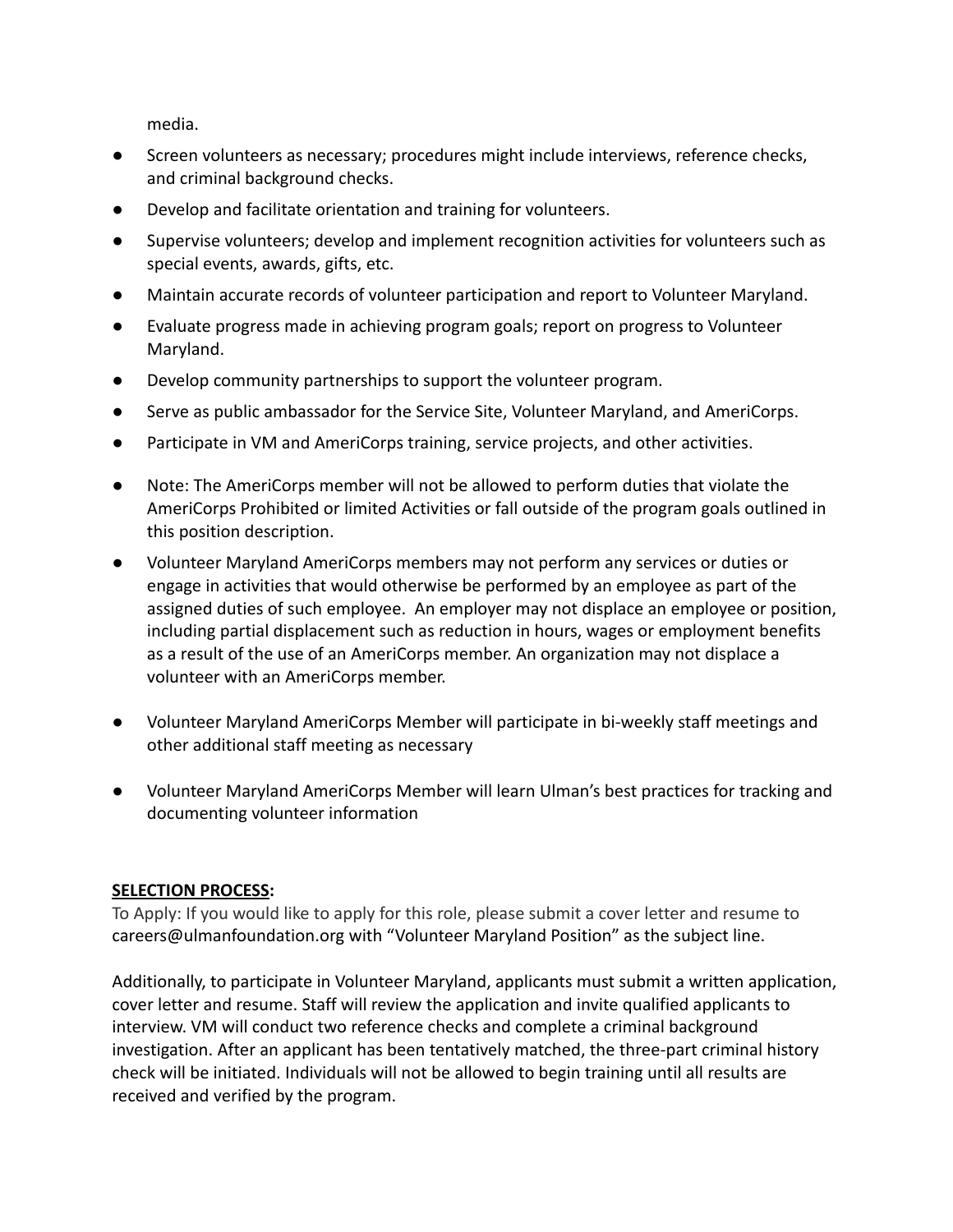media.

- Screen volunteers as necessary; procedures might include interviews, reference checks, and criminal background checks.
- Develop and facilitate orientation and training for volunteers.
- Supervise volunteers; develop and implement recognition activities for volunteers such as special events, awards, gifts, etc.
- Maintain accurate records of volunteer participation and report to Volunteer Maryland.
- Evaluate progress made in achieving program goals; report on progress to Volunteer Maryland.
- Develop community partnerships to support the volunteer program.
- Serve as public ambassador for the Service Site, Volunteer Maryland, and AmeriCorps.
- Participate in VM and AmeriCorps training, service projects, and other activities.
- Note: The AmeriCorps member will not be allowed to perform duties that violate the AmeriCorps Prohibited or limited Activities or fall outside of the program goals outlined in this position description.
- Volunteer Maryland AmeriCorps members may not perform any services or duties or engage in activities that would otherwise be performed by an employee as part of the assigned duties of such employee. An employer may not displace an employee or position, including partial displacement such as reduction in hours, wages or employment benefits as a result of the use of an AmeriCorps member. An organization may not displace a volunteer with an AmeriCorps member.
- Volunteer Maryland AmeriCorps Member will participate in bi-weekly staff meetings and other additional staff meeting as necessary
- Volunteer Maryland AmeriCorps Member will learn Ulman's best practices for tracking and documenting volunteer information

## **SELECTION PROCESS:**

To Apply: If you would like to apply for this role, please submit a cover letter and resume to careers@ulmanfoundation.org with "Volunteer Maryland Position" as the subject line.

Additionally, to participate in Volunteer Maryland, applicants must submit a written application, cover letter and resume. Staff will review the application and invite qualified applicants to interview. VM will conduct two reference checks and complete a criminal background investigation. After an applicant has been tentatively matched, the three-part criminal history check will be initiated. Individuals will not be allowed to begin training until all results are received and verified by the program.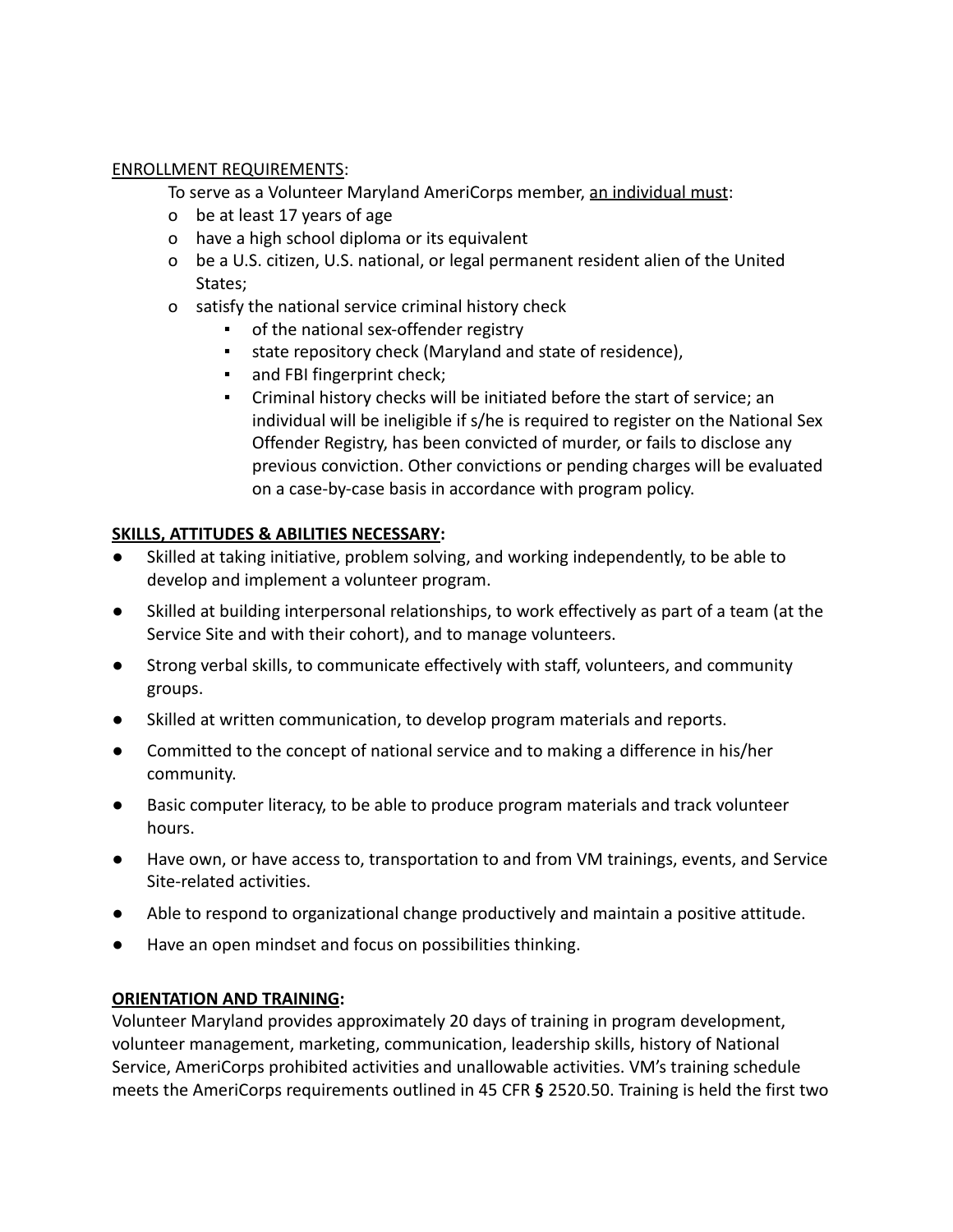## ENROLLMENT REQUIREMENTS:

To serve as a Volunteer Maryland AmeriCorps member, an individual must:

- o be at least 17 years of age
- o have a high school diploma or its equivalent
- o be a U.S. citizen, U.S. national, or legal permanent resident alien of the United States;
- o satisfy the national service criminal history check
	- of the national sex-offender registry
	- state repository check (Maryland and state of residence),
	- and FBI fingerprint check;
	- Criminal history checks will be initiated before the start of service; an individual will be ineligible if s/he is required to register on the National Sex Offender Registry, has been convicted of murder, or fails to disclose any previous conviction. Other convictions or pending charges will be evaluated on a case-by-case basis in accordance with program policy.

# **SKILLS, ATTITUDES & ABILITIES NECESSARY:**

- Skilled at taking initiative, problem solving, and working independently, to be able to develop and implement a volunteer program.
- Skilled at building interpersonal relationships, to work effectively as part of a team (at the Service Site and with their cohort), and to manage volunteers.
- Strong verbal skills, to communicate effectively with staff, volunteers, and community groups.
- Skilled at written communication, to develop program materials and reports.
- Committed to the concept of national service and to making a difference in his/her community.
- Basic computer literacy, to be able to produce program materials and track volunteer hours.
- Have own, or have access to, transportation to and from VM trainings, events, and Service Site-related activities.
- Able to respond to organizational change productively and maintain a positive attitude.
- Have an open mindset and focus on possibilities thinking.

## **ORIENTATION AND TRAINING:**

Volunteer Maryland provides approximately 20 days of training in program development, volunteer management, marketing, communication, leadership skills, history of National Service, AmeriCorps prohibited activities and unallowable activities. VM's training schedule meets the AmeriCorps requirements outlined in 45 CFR **§** 2520.50. Training is held the first two